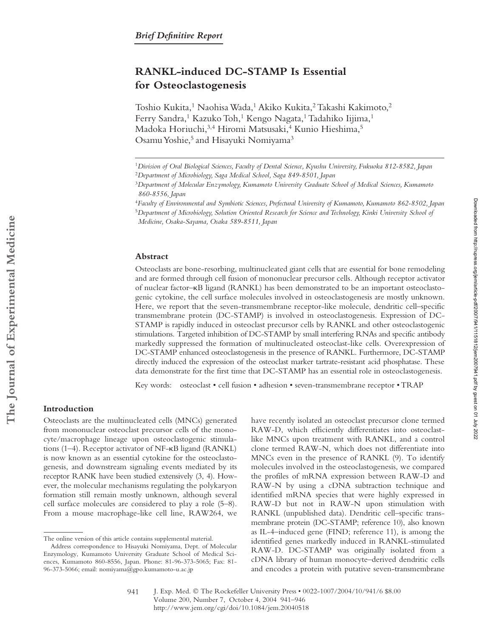# **RANKL-induced DC-STAMP Is Essential for Osteoclastogenesis**

Toshio Kukita,<sup>1</sup> Naohisa Wada,<sup>1</sup> Akiko Kukita,<sup>2</sup> Takashi Kakimoto,<sup>2</sup> Ferry Sandra,<sup>1</sup> Kazuko Toh,<sup>1</sup> Kengo Nagata,<sup>1</sup> Tadahiko Iijima,<sup>1</sup> Madoka Horiuchi, 3,4 Hiromi Matsusaki, 4 Kunio Hieshima, 5 Osamu Yoshie,<sup>5</sup> and Hisayuki Nomiyama<sup>3</sup>

## **Abstract**

Osteoclasts are bone-resorbing, multinucleated giant cells that are essential for bone remodeling and are formed through cell fusion of mononuclear precursor cells. Although receptor activator of nuclear factor– $\kappa$ B ligand (RANKL) has been demonstrated to be an important osteoclastogenic cytokine, the cell surface molecules involved in osteoclastogenesis are mostly unknown. Here, we report that the seven-transmembrane receptor-like molecule, dendritic cell–specific transmembrane protein (DC-STAMP) is involved in osteoclastogenesis. Expression of DC-STAMP is rapidly induced in osteoclast precursor cells by RANKL and other osteoclastogenic stimulations. Targeted inhibition of DC-STAMP by small interfering RNAs and specific antibody markedly suppressed the formation of multinucleated osteoclast-like cells. Overexpression of DC-STAMP enhanced osteoclastogenesis in the presence of RANKL. Furthermore, DC-STAMP directly induced the expression of the osteoclast marker tartrate-resistant acid phosphatase. These data demonstrate for the first time that DC-STAMP has an essential role in osteoclastogenesis.

Key words: osteoclast • cell fusion • adhesion • seven-transmembrane receptor • TRAP

# **Introduction**

Osteoclasts are the multinucleated cells (MNCs) generated from mononuclear osteoclast precursor cells of the monocyte/macrophage lineage upon osteoclastogenic stimulations  $(1-4)$ . Receptor activator of NF- $\kappa$ B ligand (RANKL) is now known as an essential cytokine for the osteoclastogenesis, and downstream signaling events mediated by its receptor RANK have been studied extensively (3, 4). However, the molecular mechanisms regulating the polykaryon formation still remain mostly unknown, although several cell surface molecules are considered to play a role (5–8). From a mouse macrophage-like cell line, RAW264, we

have recently isolated an osteoclast precursor clone termed RAW-D, which efficiently differentiates into osteoclastlike MNCs upon treatment with RANKL, and a control clone termed RAW-N, which does not differentiate into MNCs even in the presence of RANKL (9). To identify molecules involved in the osteoclastogenesis, we compared the profiles of mRNA expression between RAW-D and RAW-N by using a cDNA subtraction technique and identified mRNA species that were highly expressed in RAW-D but not in RAW-N upon stimulation with RANKL (unpublished data). Dendritic cell–specific transmembrane protein (DC-STAMP; reference 10), also known as IL-4–induced gene (FIND; reference 11), is among the identified genes markedly induced in RANKL-stimulated RAW-D. DC-STAMP was originally isolated from a cDNA library of human monocyte–derived dendritic cells and encodes a protein with putative seven-transmembrane

Downloaded from http://rupress.org/jem/article-pdf/200/7/941/1151812/jem2007941.pdf by guest on 01 July 2022 Downloaded from http://rupress.org/jem/article-pdf/200/7/941/1151812/jem2007941.pdf by guest on 01 July 2022

<sup>1</sup>*Division of Oral Biological Sciences, Faculty of Dental Science, Kyushu University, Fukuoka 812-8582, Japan* <sup>2</sup>*Department of Microbiology, Saga Medical School, Saga 849-8501, Japan*

<sup>3</sup>*Department of Molecular Enzymology, Kumamoto University Graduate School of Medical Sciences, Kumamoto 860-8556, Japan*

<sup>4</sup>*Faculty of Environmental and Symbiotic Sciences, Prefectural University of Kumamoto, Kumamoto 862-8502, Japan* <sup>5</sup>*Department of Microbiology, Solution Oriented Research for Science and Technology, Kinki University School of* 

*Medicine, Osaka-Sayama, Osaka 589-8511, Japan*

The online version of this article contains supplemental material.

Address correspondence to Hisayuki Nomiyama, Dept. of Molecular Enzymology, Kumamoto University Graduate School of Medical Sciences, Kumamoto 860-8556, Japan. Phone: 81-96-373-5065; Fax: 81- 96-373-5066; email: nomiyama@gpo.kumamoto-u.ac.jp

J. Exp. Med. © The Rockefeller University Press • 0022-1007/2004/10/941/6 \$8.00 Volume 200, Number 7, October 4, 2004 941–946 http://www.jem.org/cgi/doi/10.1084/jem.20040518 941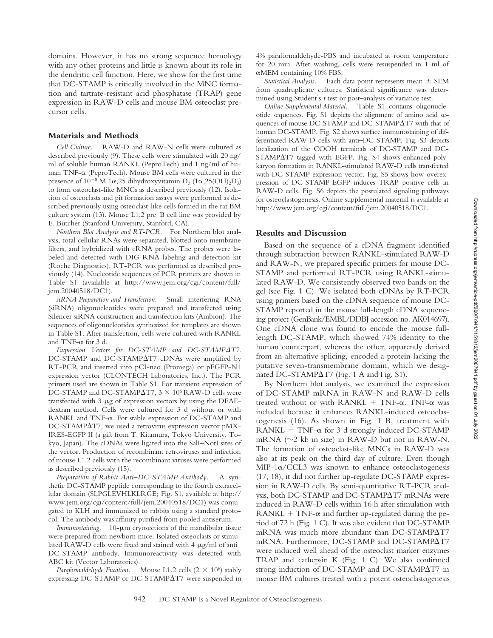domains. However, it has no strong sequence homology with any other proteins and little is known about its role in the dendritic cell function. Here, we show for the first time that DC-STAMP is critically involved in the MNC formation and tartrate-resistant acid phosphatase (TRAP) gene expression in RAW-D cells and mouse BM osteoclast precursor cells.

#### **Materials and Methods**

*Cell Culture.* RAW-D and RAW-N cells were cultured as described previously (9). These cells were stimulated with 20 ng/ ml of soluble human RANKL (PeproTech) and 1 ng/ml of human TNF- $\alpha$  (PeproTech). Mouse BM cells were cultured in the presence of  $10^{-8}$  M 1 $\alpha$ ,25 dihydroxyvitamin D<sub>3</sub> (1 $\alpha$ ,25(OH)<sub>2</sub>D<sub>3</sub>) to form osteoclast-like MNCs as described previously (12). Isolation of osteoclasts and pit formation assays were performed as described previously using osteoclast-like cells formed in the rat BM culture system (13). Mouse L1.2 pre–B cell line was provided by E. Butcher (Stanford University, Stanford, CA).

*Northern Blot Analysis and RT-PCR.* For Northern blot analysis, total cellular RNAs were separated, blotted onto membrane filters, and hybridized with cRNA probes. The probes were labeled and detected with DIG RNA labeling and detection kit (Roche Diagnostics). RT-PCR was performed as described previously (14). Nucleotide sequences of PCR primers are shown in Table S1 (available at http://www.jem.org/cgi/content/full/ jem.20040518/DC1).

*siRNA Preparation and Transfection.* Small interfering RNA (siRNA) oligonucleotides were prepared and transfected using Silencer siRNA construction and transfection kits (Ambion). The sequences of oligonucleotides synthesized for templates are shown in Table S1. After transfection, cells were cultured with RANKL and TNF- $\alpha$  for 3 d.

*Expression Vectors for DC-STAMP and DC-STAMPT7.* DC-STAMP and DC-STAMPAT7 cDNAs were amplified by RT-PCR and inserted into pCI-neo (Promega) or pEGFP-N1 expression vector (CLONTECH Laboratories, Inc.). The PCR primers used are shown in Table S1. For transient expression of DC-STAMP and DC-STAMP $\Delta$ T7, 3  $\times$  10<sup>6</sup> RAW-D cells were transfected with  $3 \mu$ g of expression vectors by using the DEAEdextran method. Cells were cultured for 3 d without or with RANKL and TNF- $\alpha$ . For stable expression of DC-STAMP and DC-STAMP $\Delta$ T7, we used a retrovirus expression vector pMX-IRES-EGFP II (a gift from T. Kitamura, Tokyo University, Tokyo, Japan). The cDNAs were ligated into the SalI–NotI sites of the vector. Production of recombinant retroviruses and infection of mouse L1.2 cells with the recombinant viruses were performed as described previously (15).

*Preparation of Rabbit Anti–DC-STAMP Antibody.* A synthetic DC-STAMP peptide corresponding to the fourth extracellular domain (SLPGLEVHLKLRGE; Fig. S1, available at http:// www.jem.org/cgi/content/full/jem.20040518/DC1) was conjugated to KLH and immunized to rabbits using a standard protocol. The antibody was affinity purified from pooled antiserum.

*Immunostaining.* 10- $\mu$ m cryosections of the mandibular tissue were prepared from newborn mice. Isolated osteoclasts or stimulated RAW-D cells were fixed and stained with 4  $\mu$ g/ml of anti-DC-STAMP antibody. Immunoreactivity was detected with ABC kit (Vector Laboratories).

*Paraformaldehyde Fixation.* Mouse L1.2 cells (2 × 10<sup>6</sup>) stably expressing DC-STAMP or DC-STAMP $\Delta$ T7 were suspended in 4% paraformaldehyde-PBS and incubated at room temperature for 20 min. After washing, cells were resuspended in 1 ml of αMEM containing 10% FBS.

*Statistical Analysis.* Each data point represents mean  $\pm$  SEM from quadruplicate cultures. Statistical significance was determined using Student's *t* test or post–analysis of variance test.

*Online Supplemental Material.* Table S1 contains oligonucleotide sequences. Fig. S1 depicts the alignment of amino acid sequences of mouse DC-STAMP and DC-STAMP $\Delta$ T7 with that of human DC-STAMP. Fig. S2 shows surface immunostaining of differentiated RAW-D cells with anti–DC-STAMP. Fig. S3 depicts localization of the COOH terminals of DC-STAMP and DC-STAMP $\Delta$ T7 tagged with EGFP. Fig. S4 shows enhanced polykaryon formation in RANKL-stimulated RAW-D cells transfected with DC-STAMP expression vector. Fig. S5 shows how overexpression of DC-STAMP-EGFP induces TRAP positive cells in RAW-D cells. Fig. S6 depicts the postulated signaling pathways for osteoclastogenesis. Online supplemental material is available at http://www.jem.org/cgi/content/full/jem.20040518/DC1.

#### **Results and Discussion**

Based on the sequence of a cDNA fragment identified through subtraction between RANKL-stimulated RAW-D and RAW-N, we prepared specific primers for mouse DC-STAMP and performed RT-PCR using RANKL-stimulated RAW-D. We consistently observed two bands on the gel (see Fig. 1 C). We isolated both cDNAs by RT-PCR using primers based on the cDNA sequence of mouse DC-STAMP reported in the mouse full-length cDNA sequencing project (GenBank/EMBL/DDBJ accession no. AK014697). One cDNA clone was found to encode the mouse fulllength DC-STAMP, which showed 74% identity to the human counterpart, whereas the other, apparently derived from an alternative splicing, encoded a protein lacking the putative seven-transmembrane domain, which we designated DC-STAMP $\Delta$ T7 (Fig. 1 A and Fig. S1).

By Northern blot analysis, we examined the expression of DC-STAMP mRNA in RAW-N and RAW-D cells treated without or with RANKL  $+$  TNF- $\alpha$ . TNF- $\alpha$  was included because it enhances RANKL-induced osteoclastogenesis (16). As shown in Fig. 1 B, treatment with  $RANKL + TNF- $\alpha$  for 3 d strongly induced DC-STAMP$ mRNA  $(\sim]2$  kb in size) in RAW-D but not in RAW-N. The formation of osteoclast-like MNCs in RAW-D was also at its peak on the third day of culture. Even though MIP-1 $\alpha$ /CCL3 was known to enhance osteoclastogenesis (17, 18), it did not further up-regulate DC-STAMP expression in RAW-D cells. By semi-quantitative RT-PCR analysis, both DC-STAMP and DC-STAMPAT7 mRNAs were induced in RAW-D cells within 16 h after stimulation with  $\text{RANKL} + \text{TNF-}\alpha$  and further up-regulated during the period of 72 h (Fig. 1 C). It was also evident that DC-STAMP mRNA was much more abundant than DC-STAMP $\Delta$ T7 mRNA. Furthermore, DC-STAMP and DC-STAMP $\Delta$ T7 were induced well ahead of the osteoclast marker enzymes TRAP and cathepsin K (Fig. 1 C). We also confirmed strong induction of DC-STAMP and DC-STAMP $\Delta$ T7 in mouse BM cultures treated with a potent osteoclastogenesis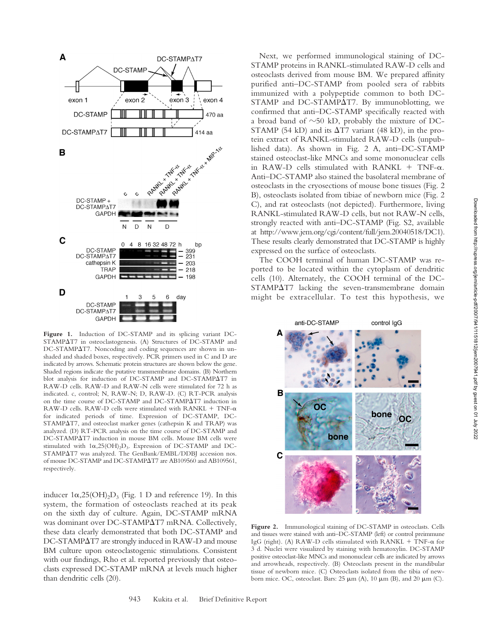

**Figure 1.** Induction of DC-STAMP and its splicing variant DC-STAMP $\Delta$ T7 in osteoclastogenesis. (A) Structures of DC-STAMP and DC-STAMP $\Delta$ T7. Noncoding and coding sequences are shown in unshaded and shaded boxes, respectively. PCR primers used in C and D are indicated by arrows. Schematic protein structures are shown below the gene. Shaded regions indicate the putative transmembrane domains. (B) Northern blot analysis for induction of DC-STAMP and DC-STAMPAT7 in RAW-D cells. RAW-D and RAW-N cells were stimulated for 72 h as indicated. c, control; N, RAW-N; D, RAW-D. (C) RT-PCR analysis on the time course of DC-STAMP and DC-STAMP $\Delta$ T7 induction in RAW-D cells. RAW-D cells were stimulated with RANKL  $+$  TNF- $\alpha$ for indicated periods of time. Expression of DC-STAMP, DC-STAMP $\Delta$ T7, and osteoclast marker genes (cathepsin K and TRAP) was analyzed. (D) RT-PCR analysis on the time course of DC-STAMP and DC-STAMPAT7 induction in mouse BM cells. Mouse BM cells were stimulated with  $1\alpha, 25(OH)_2D_3$ . Expression of DC-STAMP and DC-STAMP $\Delta$ T7 was analyzed. The GenBank/EMBL/DDBJ accession nos. of mouse DC-STAMP and DC-STAMP $\Delta$ T7 are AB109560 and AB109561, respectively.

inducer  $1\alpha,25(OH)_2D_3$  (Fig. 1 D and reference 19). In this system, the formation of osteoclasts reached at its peak on the sixth day of culture. Again, DC-STAMP mRNA was dominant over DC-STAMP $\Delta$ T7 mRNA. Collectively, these data clearly demonstrated that both DC-STAMP and DC-STAMP $\Delta$ T7 are strongly induced in RAW-D and mouse BM culture upon osteoclastogenic stimulations. Consistent with our findings, Rho et al. reported previously that osteoclasts expressed DC-STAMP mRNA at levels much higher than dendritic cells (20).

Next, we performed immunological staining of DC-STAMP proteins in RANKL-stimulated RAW-D cells and osteoclasts derived from mouse BM. We prepared affinity purified anti–DC-STAMP from pooled sera of rabbits immunized with a polypeptide common to both DC-STAMP and DC-STAMP $\Delta$ T7. By immunoblotting, we confirmed that anti–DC-STAMP specifically reacted with a broad band of  $\sim 50$  kD, probably the mixture of DC-STAMP (54 kD) and its  $\Delta$ T7 variant (48 kD), in the protein extract of RANKL-stimulated RAW-D cells (unpublished data). As shown in Fig. 2 A, anti–DC-STAMP stained osteoclast-like MNCs and some mononuclear cells in RAW-D cells stimulated with RANKL  $+$  TNF- $\alpha$ . Anti–DC-STAMP also stained the basolateral membrane of osteoclasts in the cryosections of mouse bone tissues (Fig. 2 B), osteoclasts isolated from tibiae of newborn mice (Fig. 2 C), and rat osteoclasts (not depicted). Furthermore, living RANKL-stimulated RAW-D cells, but not RAW-N cells, strongly reacted with anti–DC-STAMP (Fig. S2, available at http://www.jem.org/cgi/content/full/jem.20040518/DC1). These results clearly demonstrated that DC-STAMP is highly expressed on the surface of osteoclasts.

The COOH terminal of human DC-STAMP was reported to be located within the cytoplasm of dendritic cells (10). Alternately, the COOH terminal of the DC- $STAMPAT7$  lacking the seven-transmembrane domain might be extracellular. To test this hypothesis, we



**Figure 2.** Immunological staining of DC-STAMP in osteoclasts. Cells and tissues were stained with anti–DC-STAMP (left) or control preimmune IgG (right). (A) RAW-D cells stimulated with RANKL + TNF-a for 3 d. Nuclei were visualized by staining with hematoxylin. DC-STAMP positive osteoclast-like MNCs and mononuclear cells are indicated by arrows and arrowheads, respectively. (B) Osteoclasts present in the mandibular tissue of newborn mice. (C) Osteoclasts isolated from the tibia of newborn mice. OC, osteoclast. Bars:  $25 \mu m$  (A),  $10 \mu m$  (B), and  $20 \mu m$  (C).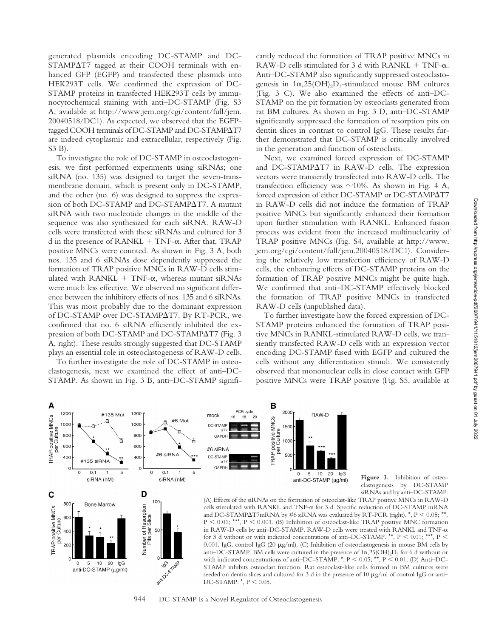generated plasmids encoding DC-STAMP and DC- $STAMPΔT7$  tagged at their COOH terminals with enhanced GFP (EGFP) and transfected these plasmids into HEK293T cells. We confirmed the expression of DC-STAMP proteins in transfected HEK293T cells by immunocytochemical staining with anti–DC-STAMP (Fig. S3 A, available at http://www.jem.org/cgi/content/full/jem. 20040518/DC1). As expected, we observed that the EGFPtagged COOH terminals of DC-STAMP and DC-STAMP $\Delta$ T7 are indeed cytoplasmic and extracellular, respectively (Fig. S3 B).

To investigate the role of DC-STAMP in osteoclastogenesis, we first performed experiments using siRNAs; one siRNA (no. 135) was designed to target the seven-transmembrane domain, which is present only in DC-STAMP, and the other (no. 6) was designed to suppress the expression of both DC-STAMP and DC-STAMPAT7. A mutant siRNA with two nucleotide changes in the middle of the sequence was also synthesized for each siRNA. RAW-D cells were transfected with these siRNAs and cultured for 3 d in the presence of RANKL + TNF- $\alpha$ . After that, TRAP positive MNCs were counted. As shown in Fig. 3 A, both nos. 135 and 6 siRNAs dose dependently suppressed the formation of TRAP positive MNCs in RAW-D cells stimulated with  $\text{RANKL} + \text{TNF-}\alpha$ , whereas mutant si $\text{RNAs}$ were much less effective. We observed no significant difference between the inhibitory effects of nos. 135 and 6 siRNAs. This was most probably due to the dominant expression of DC-STAMP over DC-STAMPAT7. By RT-PCR, we confirmed that no. 6 siRNA efficiently inhibited the expression of both DC-STAMP and DC-STAMPAT7 (Fig. 3 A, right). These results strongly suggested that DC-STAMP plays an essential role in osteoclastogenesis of RAW-D cells.

To further investigate the role of DC-STAMP in osteoclastogenesis, next we examined the effect of anti–DC-STAMP. As shown in Fig. 3 B, anti–DC-STAMP signifi-

1200

#135 Mut

A

TRAP-positive MNCs<br>per Culture

 $\mathbf C$ 

**FRAP-positive MNCs** 

120

100

800

600

 $40<sub>0</sub>$ 

 $\circ$ 

800

60C Culture 400 per  $200$ 

 $\cap$ 

cantly reduced the formation of TRAP positive MNCs in RAW-D cells stimulated for 3 d with RANKL  $+$  TNF- $\alpha$ . Anti–DC-STAMP also significantly suppressed osteoclastogenesis in  $1\alpha, 25(OH)_2D_3$ -stimulated mouse BM cultures (Fig. 3 C). We also examined the effects of anti–DC-STAMP on the pit formation by osteoclasts generated from rat BM cultures. As shown in Fig. 3 D, anti–DC-STAMP significantly suppressed the formation of resorption pits on dentin slices in contrast to control IgG. These results further demonstrated that DC-STAMP is critically involved in the generation and function of osteoclasts.

Next, we examined forced expression of DC-STAMP and DC-STAMP $\Delta$ T7 in RAW-D cells. The expression vectors were transiently transfected into RAW-D cells. The transfection efficiency was  $\sim$ 10%. As shown in Fig. 4 A, forced expression of either DC-STAMP or DC-STAMPAT7 in RAW-D cells did not induce the formation of TRAP positive MNCs but significantly enhanced their formation upon further stimulation with RANKL. Enhanced fusion process was evident from the increased multinuclearity of TRAP positive MNCs (Fig. S4, available at http://www. jem.org/cgi/content/full/jem.20040518/DC1). Considering the relatively low transfection efficiency of RAW-D cells, the enhancing effects of DC-STAMP proteins on the formation of TRAP positive MNCs might be quite high. We confirmed that anti–DC-STAMP effectively blocked the formation of TRAP positive MNCs in transfected RAW-D cells (unpublished data).

To further investigate how the forced expression of DC-STAMP proteins enhanced the formation of TRAP positive MNCs in RANKL-stimulated RAW-D cells, we transiently transfected RAW-D cells with an expression vector encoding DC-STAMP fused with EGFP and cultured the cells without any differentiation stimuli. We consistently observed that mononuclear cells in close contact with GFP positive MNCs were TRAP positive (Fig. S5, available at



PCR cycle

16 18  $20$ 

mock

В

2000

RAW-D

944 DC-STAMP Is a Novel Regulator of Osteoclastogenesis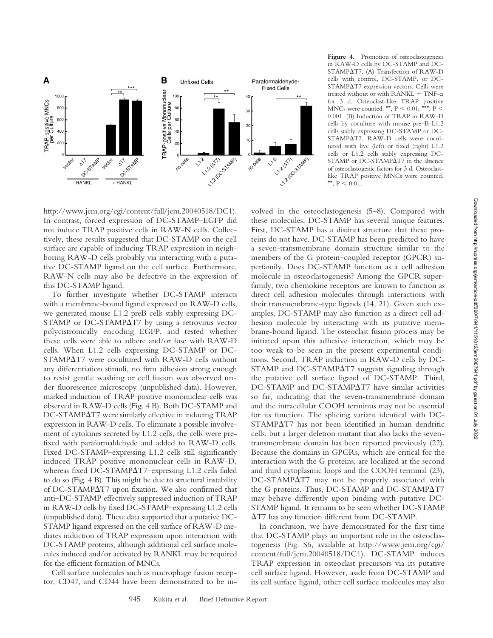

Figure 4. Promotion of osteoclastogenesis in RAW-D cells by DC-STAMP and DC-STAMP $\Delta$ T7. (A) Transfection of RAW-D cells with control, DC-STAMP, or DC- $STAMPAT7$  expression vectors. Cells were treated without or with  $RANKL + TNF-\alpha$ for 3 d. Osteoclast-like TRAP positive MNCs were counted. \*\*,  $P \le 0.01$ ; \*\*\*,  $P \le$ 0.001. (B) Induction of TRAP in RAW-D cells by coculture with mouse pre–B L1.2 cells stably expressing DC-STAMP or DC-STAMPAT7. RAW-D cells were cocultured with live (left) or fixed (right) L1.2 cells or L1.2 cells stably expressing DC-STAMP or DC-STAMPAT7 in the absence of osteoclastogenic factors for 3 d. Osteoclastlike TRAP positive MNCs were counted. \*\*,  $P < 0.01$ .

http://www.jem.org/cgi/content/full/jem.20040518/DC1). In contrast, forced expression of DC-STAMP–EGFP did not induce TRAP positive cells in RAW-N cells. Collectively, these results suggested that DC-STAMP on the cell surface are capable of inducing TRAP expression in neighboring RAW-D cells probably via interacting with a putative DC-STAMP ligand on the cell surface. Furthermore, RAW-N cells may also be defective in the expression of this DC-STAMP ligand.

To further investigate whether DC-STAMP interacts with a membrane-bound ligand expressed on RAW-D cells, we generated mouse L1.2 preB cells stably expressing DC-STAMP or DC-STAMP $\Delta$ T7 by using a retrovirus vector polycistronically encoding EGFP, and tested whether these cells were able to adhere and/or fuse with RAW-D cells. When L1.2 cells expressing DC-STAMP or DC-STAMP $\Delta$ T7 were cocultured with RAW-D cells without any differentiation stimuli, no firm adhesion strong enough to resist gentle washing or cell fusion was observed under fluorescence microscopy (unpublished data). However, marked induction of TRAP positive mononuclear cells was observed in RAW-D cells (Fig. 4 B). Both DC-STAMP and DC-STAMP $\Delta$ T7 were similarly effective in inducing TRAP expression in RAW-D cells. To eliminate a possible involvement of cytokines secreted by L1.2 cells, the cells were prefixed with paraformaldehyde and added to RAW-D cells. Fixed DC-STAMP–expressing L1.2 cells still significantly induced TRAP positive mononuclear cells in RAW-D, whereas fixed DC-STAMP $\Delta$ T7-expressing L1.2 cells failed to do so (Fig. 4 B). This might be due to structural instability of DC-STAMP $\Delta$ T7 upon fixation. We also confirmed that anti–DC-STAMP effectively suppressed induction of TRAP in RAW-D cells by fixed DC-STAMP–expressing L1.2 cells (unpublished data). These data supported that a putative DC-STAMP ligand expressed on the cell surface of RAW-D mediates induction of TRAP expression upon interaction with DC-STAMP proteins, although additional cell surface molecules induced and/or activated by RANKL may be required for the efficient formation of MNCs.

Cell surface molecules such as macrophage fusion receptor, CD47, and CD44 have been demonstrated to be in-

volved in the osteoclastogenesis (5–8). Compared with these molecules, DC-STAMP has several unique features. First, DC-STAMP has a distinct structure that these proteins do not have. DC-STAMP has been predicted to have a seven-transmembrane domain structure similar to the members of the G protein–coupled receptor (GPCR) superfamily. Does DC-STAMP function as a cell adhesion molecule in osteoclastogenesis? Among the GPCR superfamily, two chemokine receptors are known to function as direct cell adhesion molecules through interactions with their transmembrane-type ligands (14, 21). Given such examples, DC-STAMP may also function as a direct cell adhesion molecule by interacting with its putative membrane-bound ligand. The osteoclast fusion process may be initiated upon this adhesive interaction, which may be too weak to be seen in the present experimental conditions. Second, TRAP induction in RAW-D cells by DC-STAMP and DC-STAMPAT7 suggests signaling through the putative cell surface ligand of DC-STAMP. Third, DC-STAMP and DC-STAMP $\Delta$ T7 have similar activities so far, indicating that the seven-transmembrane domain and the intracellular COOH terminus may not be essential for its function. The splicing variant identical with DC-STAMPAT7 has not been identified in human dendritic cells, but a larger deletion mutant that also lacks the seventransmembrane domain has been reported previously (22). Because the domains in GPCRs, which are critical for the interaction with the G proteins, are localized at the second and third cytoplasmic loops and the COOH terminal (23),  $DC-STAMPAT7$  may not be properly associated with the G proteins. Thus, DC-STAMP and DC-STAMP $\Delta$ T7 may behave differently upon binding with putative DC-STAMP ligand. It remains to be seen whether DC-STAMP T7 has any function different from DC-STAMP.

In conclusion, we have demonstrated for the first time that DC-STAMP plays an important role in the osteoclastogenesis (Fig. S6, available at http://www.jem.org/cgi/ content/full/jem.20040518/DC1). DC-STAMP induces TRAP expression in osteoclast precursors via its putative cell surface ligand. However, aside from DC-STAMP and its cell surface ligand, other cell surface molecules may also